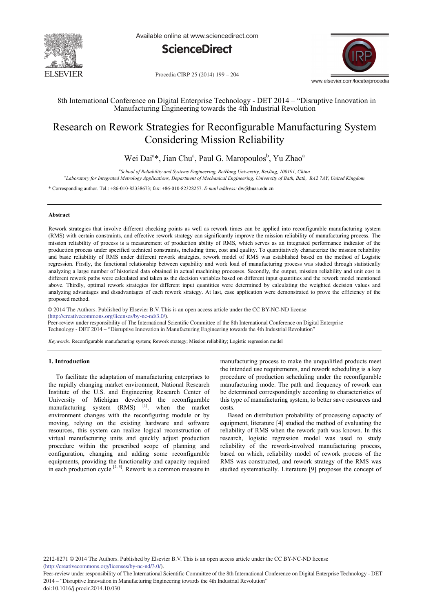

Available online at www.sciencedirect.com



www.elsevier.com/locate/procedia

Procedia CIRP 25 (2014) 199 - 204

# 8th International Conference on Digital Enterprise Technology - DET 2014 – "Disruptive Innovation in Manufacturing Engineering towards the 4th Industrial Revolution

# Research on Rework Strategies for Reconfigurable Manufacturing System Considering Mission Reliability

Wei Dai<sup>a</sup>\*, Jian Chu<sup>a</sup>, Paul G. Maropoulos<sup>b</sup>, Yu Zhao<sup>a</sup>

*a School of Reliability and Systems Engineering, BeiHang University, BeiJing, 100191, China*

*b Laboratory for Integrated Metrology Applications, Department of Mechanical Engineering, University of Bath, Bath, BA2 7AY, United Kingdom*

\* Corresponding author. Tel.: +86-010-82338673; fax: +86-010-82328257. *E-mail address:* dw@buaa.edu.cn

# **Abstract**

Rework strategies that involve different checking points as well as rework times can be applied into reconfigurable manufacturing system (RMS) with certain constraints, and effective rework strategy can significantly improve the mission reliability of manufacturing process. The mission reliability of process is a measurement of production ability of RMS, which serves as an integrated performance indicator of the production process under specified technical constraints, including time, cost and quality. To quantitatively characterize the mission reliability and basic reliability of RMS under different rework strategies, rework model of RMS was established based on the method of Logistic regression. Firstly, the functional relationship between capability and work load of manufacturing process was studied through statistically analyzing a large number of historical data obtained in actual machining processes. Secondly, the output, mission reliability and unit cost in different rework paths were calculated and taken as the decision variables based on different input quantities and the rework model mentioned above. Thirdly, optimal rework strategies for different input quantities were determined by calculating the weighted decision values and analyzing advantages and disadvantages of each rework strategy. At last, case application were demonstrated to prove the efficiency of the proposed method.

© 2014 The Authors. Published by Elsevier B.V. (http://creativecommons.org/licenses/by-nc-nd/3.0/). © 2014 The Authors. Published by Elsevier B.V. This is an open access article under the CC BY-NC-ND license

Peer-review under responsibility of The International Scientific Committee of the 8th International Conference on Digital Enterprise Technology - DET 2014 – "Disruptive Innovation in Manufacturing Engineering towards the 4th Industrial Revolution"

*Keywords:* Reconfigurable manufacturing system; Rework strategy; Mission reliability; Logistic regression model

# **1. Introduction**

To facilitate the adaptation of manufacturing enterprises to the rapidly changing market environment, National Research Institute of the U.S. and Engineering Research Center of University of Michigan developed the reconfigurable manufacturing system  $(RMS)$ <sup>[1]</sup>. when the market environment changes with the reconfiguring module or by moving, relying on the existing hardware and software resources, this system can realize logical reconstruction of virtual manufacturing units and quickly adjust production procedure within the prescribed scope of planning and configuration, changing and adding some reconfigurable equipments, providing the functionality and capacity required in each production cycle  $[2, 3]$ . Rework is a common measure in manufacturing process to make the unqualified products meet the intended use requirements, and rework scheduling is a key procedure of production scheduling under the reconfigurable manufacturing mode. The path and frequency of rework can be determined correspondingly according to characteristics of this type of manufacturing system, to better save resources and costs.

Based on distribution probability of processing capacity of equipment, literature [4] studied the method of evaluating the reliability of RMS when the rework path was known. In this research, logistic regression model was used to study reliability of the rework-involved manufacturing process, based on which, reliability model of rework process of the RMS was constructed, and rework strategy of the RMS was studied systematically. Literature [9] proposes the concept of

2212-8271 © 2014 The Authors. Published by Elsevier B.V. This is an open access article under the CC BY-NC-ND license (http://creativecommons.org/licenses/by-nc-nd/3.0/).

Peer-review under responsibility of The International Scientific Committee of the 8th International Conference on Digital Enterprise Technology - DET 2014 – "Disruptive Innovation in Manufacturing Engineering towards the 4th Industrial Revolution"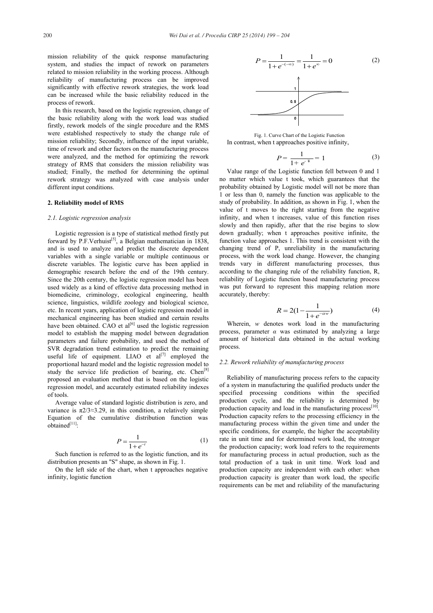mission reliability of the quick response manufacturing system, and studies the impact of rework on parameters related to mission reliability in the working process. Although reliability of manufacturing process can be improved significantly with effective rework strategies, the work load can be increased while the basic reliability reduced in the process of rework.

In this research, based on the logistic regression, change of the basic reliability along with the work load was studied firstly, rework models of the single procedure and the RMS were established respectively to study the change rule of mission reliability; Secondly, influence of the input variable, time of rework and other factors on the manufacturing process were analyzed, and the method for optimizing the rework strategy of RMS that considers the mission reliability was studied; Finally, the method for determining the optimal rework strategy was analyzed with case analysis under different input conditions.

# **2. Reliability model of RMS**

#### *2.1. Logistic regression analysis*

Logistic regression is a type of statistical method firstly put forward by P.F.Verhuist<sup>[5]</sup>, a Belgian mathematician in 1838, and is used to analyze and predict the discrete dependent variables with a single variable or multiple continuous or discrete variables. The logistic curve has been applied in demographic research before the end of the 19th century. Since the 20th century, the logistic regression model has been used widely as a kind of effective data processing method in biomedicine, criminology, ecological engineering, health science, linguistics, wildlife zoology and biological science, etc. In recent years, application of logistic regression model in mechanical engineering has been studied and certain results have been obtained. CAO et al<sup>[6]</sup> used the logistic regression model to establish the mapping model between degradation parameters and failure probability, and used the method of SVR degradation trend estimation to predict the remaining useful life of equipment. LIAO et  $al^{[7]}$  employed the proportional hazard model and the logistic regression model to study the service life prediction of bearing, etc.  $Chen^{[8]}$ proposed an evaluation method that is based on the logistic regression model, and accurately estimated reliability indexes of tools.

Average value of standard logistic distribution is zero, and variance is  $\pi$ 2/3≈3.29, in this condition, a relatively simple Equation of the cumulative distribution function was obtained[11]:

$$
P = \frac{1}{1 + e^{-t}}\tag{1}
$$

Such function is referred to as the logistic function, and its distribution presents an "S" shape, as shown in Fig. 1.

On the left side of the chart, when t approaches negative infinity, logistic function



Fig. 1. Curve Chart of the Logistic Function In contrast, when t approaches positive infinity,

$$
P = \frac{1}{1 + e^{-\frac{u}{k}}} = 1\tag{3}
$$

Value range of the Logistic function fell between 0 and 1 no matter which value t took, which guarantees that the probability obtained by Logistic model will not be more than 1 or less than 0, namely the function was applicable to the study of probability. In addition, as shown in Fig. 1, when the value of t moves to the right starting from the negative infinity, and when t increases, value of this function rises slowly and then rapidly, after that the rise begins to slow down gradually; when t approaches positive infinite, the function value approaches 1. This trend is consistent with the changing trend of P, unreliability in the manufacturing process, with the work load change. However, the changing trends vary in different manufacturing processes, thus according to the changing rule of the reliability function, R, reliability of Logistic function based manufacturing process was put forward to represent this mapping relation more accurately, thereby:

$$
R = 2(1 - \frac{1}{1 + e^{-\alpha w}})
$$
 (4)

Wherein, *w* denotes work load in the manufacturing process, parameter  $\alpha$  was estimated by analyzing a large amount of historical data obtained in the actual working process.

# *2.2. Rework reliability of manufacturing process*

Reliability of manufacturing process refers to the capacity of a system in manufacturing the qualified products under the specified processing conditions within the specified production cycle, and the reliability is determined by production capacity and load in the manufacturing process $[10]$ . Production capacity refers to the processing efficiency in the manufacturing process within the given time and under the specific conditions, for example, the higher the acceptability rate in unit time and for determined work load, the stronger the production capacity; work load refers to the requirements for manufacturing process in actual production, such as the total production of a task in unit time. Work load and production capacity are independent with each other: when production capacity is greater than work load, the specific requirements can be met and reliability of the manufacturing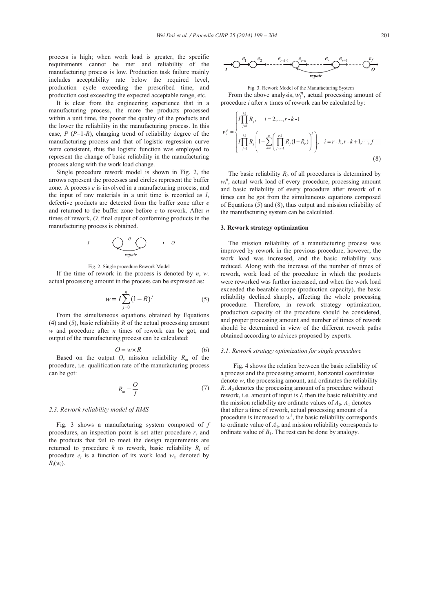process is high; when work load is greater, the specific requirements cannot be met and reliability of the manufacturing process is low. Production task failure mainly includes acceptability rate below the required level, production cycle exceeding the prescribed time, and production cost exceeding the expected acceptable range, etc.

It is clear from the engineering experience that in a manufacturing process, the more the products processed within a unit time, the poorer the quality of the products and the lower the reliability in the manufacturing process. In this case, *P* (*P*=1-*R*), changing trend of reliability degree of the manufacturing process and that of logistic regression curve were consistent, thus the logistic function was employed to represent the change of basic reliability in the manufacturing process along with the work load change.

Single procedure rework model is shown in Fig. 2, the arrows represent the processes and circles represent the buffer zone. A process *e* is involved in a manufacturing process, and the input of raw materials in a unit time is recorded as *I*, defective products are detected from the buffer zone after *e* and returned to the buffer zone before *e* to rework. After *n* times of rework, *O,* final output of conforming products in the manufacturing process is obtained.



Fig. 2. Single procedure Rework Model

If the time of rework in the process is denoted by  $n$ ,  $w$ , actual processing amount in the process can be expressed as:

$$
w = I \sum_{j=0}^{n} (1 - R)^{j}
$$
 (5)

From the simultaneous equations obtained by Equations (4) and (5), basic reliability *R* of the actual processing amount *w* and procedure after *n* times of rework can be got, and output of the manufacturing process can be calculated:

$$
O = w \times R \tag{6}
$$

Based on the output *O*, mission reliability  $R_m$  of the procedure, i.e. qualification rate of the manufacturing process can be got:

$$
R_m = \frac{O}{I} \tag{7}
$$

# *2.3. Rework reliability model of RMS*

Fig. 3 shows a manufacturing system composed of *f*  procedures, an inspection point is set after procedure *r*, and the products that fail to meet the design requirements are returned to procedure  $k$  to rework, basic reliability  $R_i$  of procedure  $e_i$  is a function of its work load  $w_i$ , denoted by  $R_i(w_i)$ .



Fig. 3. Rework Model of the Manufacturing System From the above analysis,  $w_i^n$ , actual processing amount of procedure *i* after *n* times of rework can be calculated by:

$$
w_i^n = \begin{cases} I \prod_{j=1}^{i-1} R_j, & i = 2, ..., r-k-1 \\ I \prod_{j=1}^{i-1} R_j \left( 1 + \sum_{h=1}^n \left( \prod_{j=r-k}^{r-1} R_j (1-R_r) \right)^h \right), & i = r-k, r-k+1, ..., f \\ (8) \end{cases}
$$

The basic reliability  $R_i$ , of all procedures is determined by  $w_i$ <sup>n</sup>, actual work load of every procedure, processing amount and basic reliability of every procedure after rework of n times can be got from the simultaneous equations composed of Equations (5) and (8), thus output and mission reliability of the manufacturing system can be calculated.

#### **3. Rework strategy optimization**

The mission reliability of a manufacturing process was improved by rework in the previous procedure, however, the work load was increased, and the basic reliability was reduced. Along with the increase of the number of times of rework, work load of the procedure in which the products were reworked was further increased, and when the work load exceeded the bearable scope (production capacity), the basic reliability declined sharply, affecting the whole processing procedure. Therefore, in rework strategy optimization, production capacity of the procedure should be considered, and proper processing amount and number of times of rework should be determined in view of the different rework paths obtained according to advices proposed by experts.

#### *3.1. Rework strategy optimization for single procedure*

Fig. 4 shows the relation between the basic reliability of a process and the processing amount, horizontal coordinates denote *w*, the processing amount, and ordinates the reliability *R*. *A*0 denotes the processing amount of a procedure without rework, i.e. amount of input is *I*, then the basic reliability and the mission reliability are ordinate values of  $A_0$ .  $A_1$  denotes that after a time of rework, actual processing amount of a procedure is increased to  $w<sup>1</sup>$ , the basic reliability corresponds to ordinate value of  $A<sub>1</sub>$ , and mission reliability corresponds to ordinate value of  $B_1$ . The rest can be done by analogy.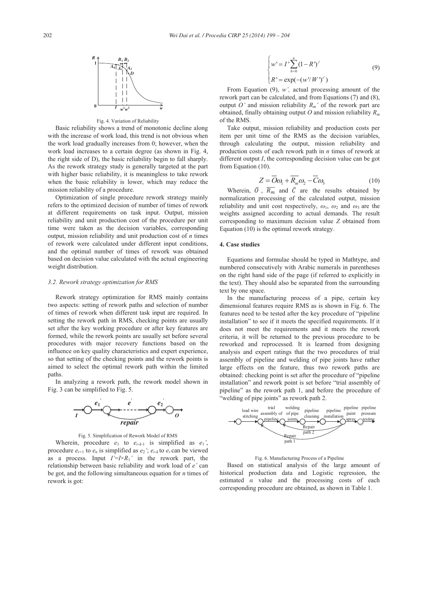

Fig. 4. Variation of Reliability

Basic reliability shows a trend of monotonic decline along with the increase of work load, this trend is not obvious when the work load gradually increases from 0; however, when the work load increases to a certain degree (as shown in Fig. 4, the right side of D), the basic reliability begin to fall sharply. As the rework strategy study is generally targeted at the part with higher basic reliability, it is meaningless to take rework when the basic reliability is lower, which may reduce the mission reliability of a procedure.

Optimization of single procedure rework strategy mainly refers to the optimized decision of number of times of rework at different requirements on task input. Output, mission reliability and unit production cost of the procedure per unit time were taken as the decision variables, corresponding output, mission reliability and unit production cost of *n* times of rework were calculated under different input conditions, and the optimal number of times of rework was obtained based on decision value calculated with the actual engineering weight distribution.

# *3.2. Rework strategy optimization for RMS*

Rework strategy optimization for RMS mainly contains two aspects: setting of rework paths and selection of number of times of rework when different task input are required. In setting the rework path in RMS, checking points are usually set after the key working procedure or after key features are formed, while the rework points are usually set before several procedures with major recovery functions based on the influence on key quality characteristics and expert experience, so that setting of the checking points and the rework points is aimed to select the optimal rework path within the limited paths.

In analyzing a rework path, the rework model shown in Fig. 3 can be simplified to Fig. 5.



Fig. 5. Simplification of Rework Model of RMS

Wherein, procedure  $e_1$  to  $e_{r-k-1}$  is simplified as  $e_1'$ , procedure  $e_{r+1}$  to  $e_n$  is simplified as  $e_2$ <sup>'</sup>;  $e_{r-k}$  to  $e_r$  can be viewed as a process. Input  $I' = I \times R_1'$  in the rework part, the relationship between basic reliability and work load of *e'* can be got, and the following simultaneous equation for *n* times of rework is got:

$$
\begin{cases} w' = I' \sum_{h=0}^{n} (1 - R')^{j} \\ R' = \exp(-(w'/W')^{i'}) \end{cases}
$$
 (9)

From Equation (9), *w',* actual processing amount of the rework part can be calculated, and from Equations (7) and (8), output *O'* and mission reliability  $R_m$ ' of the rework part are obtained, finally obtaining output *O* and mission reliability *Rm* of the RMS.

Take output, mission reliability and production costs per item per unit time of the RMS as the decision variables, through calculating the output, mission reliability and production costs of each rework path in *n* times of rework at different output *I*, the corresponding decision value can be got from Equation (10).

$$
Z = \overline{O}\omega_1 + \overline{R}_m \omega_2 - \overline{C}\omega_3 \tag{10}
$$

Wherein,  $\overline{O}$ ,  $\overline{R_m}$  and  $\overline{C}$  are the results obtained by normalization processing of the calculated output, mission reliability and unit cost respectively,  $\omega_1$ ,  $\omega_2$  and  $\omega_3$  are the weights assigned according to actual demands. The result corresponding to maximum decision value *Z* obtained from Equation (10) is the optimal rework strategy.

### **4. Case studies**

Equations and formulae should be typed in Mathtype, and numbered consecutively with Arabic numerals in parentheses on the right hand side of the page (if referred to explicitly in the text). They should also be separated from the surrounding text by one space.

In the manufacturing process of a pipe, certain key dimensional features require RMS as is shown in Fig. 6. The features need to be tested after the key procedure of "pipeline installation" to see if it meets the specified requirements. If it does not meet the requirements and it meets the rework criteria, it will be returned to the previous procedure to be reworked and reprocessed. It is learned from designing analysis and expert ratings that the two procedures of trial assembly of pipeline and welding of pipe joints have rather large effects on the feature, thus two rework paths are obtained: checking point is set after the procedure of "pipeline installation" and rework point is set before "trial assembly of pipeline" as the rework path 1, and before the procedure of "welding of pipe joints" as rework path 2.



Fig. 6. Manufacturing Process of a Pipeline

Based on statistical analysis of the large amount of historical production data and Logistic regression, the estimated *α* value and the processing costs of each corresponding procedure are obtained, as shown in Table 1.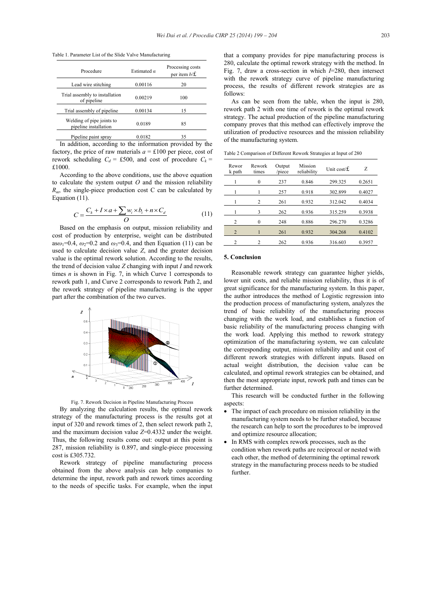Table 1. Parameter List of the Slide Valve Manufacturing

| Procedure                                          | Estimated $\alpha$ | Processing costs<br>per item $b/\mathbf{f}$ . |
|----------------------------------------------------|--------------------|-----------------------------------------------|
| Lead wire stitching                                | 0.00116            | 20                                            |
| Trial assembly to installation<br>of pipeline      | 0.00219            | 100                                           |
| Trial assembly of pipeline.                        | 0.00134            | 15                                            |
| Welding of pipe joints to<br>pipeline installation | 0.0189             | 85                                            |
| Pipeline paint spray                               | 0.0182             | 35                                            |

In addition, according to the information provided by the factory, the price of raw materials  $a = \pounds 100$  per piece, cost of rework scheduling  $C_d = \text{\pounds}500$ , and cost of procedure  $C_k =$ £1000.

According to the above conditions, use the above equation to calculate the system output *O* and the mission reliability  $R_m$ , the single-piece production cost C can be calculated by Equation (11).

$$
C = \frac{C_k + I \times a + \sum_{i} w_i \times b_i + n \times C_d}{O} \tag{11}
$$

Based on the emphasis on output, mission reliability and cost of production by enterprise, weight can be distributed as $\omega_1$ =0.4,  $\omega_2$ =0.2 and  $\omega_3$ =0.4, and then Equation (11) can be used to calculate decision value *Z*, and the greater decision value is the optimal rework solution. According to the results, the trend of decision value *Z* changing with input *I* and rework times *n* is shown in Fig. 7, in which Curve 1 corresponds to rework path 1, and Curve 2 corresponds to rework Path 2, and the rework strategy of pipeline manufacturing is the upper part after the combination of the two curves.



Fig. 7. Rework Decision in Pipeline Manufacturing Process

By analyzing the calculation results, the optimal rework strategy of the manufacturing process is the results got at input of 320 and rework times of 2, then select rework path 2, and the maximum decision value *Z*=0.4332 under the weight. Thus, the following results come out: output at this point is 287, mission reliability is 0.897, and single-piece processing cost is £305.732.

Rework strategy of pipeline manufacturing process obtained from the above analysis can help companies to determine the input, rework path and rework times according to the needs of specific tasks. For example, when the input

that a company provides for pipe manufacturing process is 280, calculate the optimal rework strategy with the method. In Fig. 7, draw a cross-section in which *I*=280, then intersect with the rework strategy curve of pipeline manufacturing process, the results of different rework strategies are as follows:

As can be seen from the table, when the input is 280, rework path 2 with one time of rework is the optimal rework strategy. The actual production of the pipeline manufacturing company proves that this method can effectively improve the utilization of productive resources and the mission reliability of the manufacturing system.

Table 2 Comparison of Different Rework Strategies at Input of 280

| Rewor<br>k path | Rework<br>times | Output<br>/piece | Mission<br>reliability | Unit cost/ $f$ . | Z      |
|-----------------|-----------------|------------------|------------------------|------------------|--------|
|                 | $\theta$        | 237              | 0.846                  | 299.325          | 0.2651 |
|                 |                 | 257              | 0.918                  | 302.899          | 0.4027 |
|                 | 2               | 261              | 0.932                  | 312.042          | 0.4034 |
|                 | 3               | 262              | 0.936                  | 315.259          | 0.3938 |
| $\overline{c}$  | 0               | 248              | 0.886                  | 296.270          | 0.3286 |
| $\overline{2}$  |                 | 261              | 0.932                  | 304.268          | 0.4102 |
| 2               | 2               | 262              | 0.936                  | 316.603          | 0.3957 |

#### **5. Conclusion**

Reasonable rework strategy can guarantee higher yields, lower unit costs, and reliable mission reliability, thus it is of great significance for the manufacturing system. In this paper, the author introduces the method of Logistic regression into the production process of manufacturing system, analyzes the trend of basic reliability of the manufacturing process changing with the work load, and establishes a function of basic reliability of the manufacturing process changing with the work load. Applying this method to rework strategy optimization of the manufacturing system, we can calculate the corresponding output, mission reliability and unit cost of different rework strategies with different inputs. Based on actual weight distribution, the decision value can be calculated, and optimal rework strategies can be obtained, and then the most appropriate input, rework path and times can be further determined.

This research will be conducted further in the following aspects:

- $\bullet$  The impact of each procedure on mission reliability in the manufacturing system needs to be further studied, because the research can help to sort the procedures to be improved and optimize resource allocation;
- In RMS with complex rework processes, such as the condition when rework paths are reciprocal or nested with each other, the method of determining the optimal rework strategy in the manufacturing process needs to be studied further.